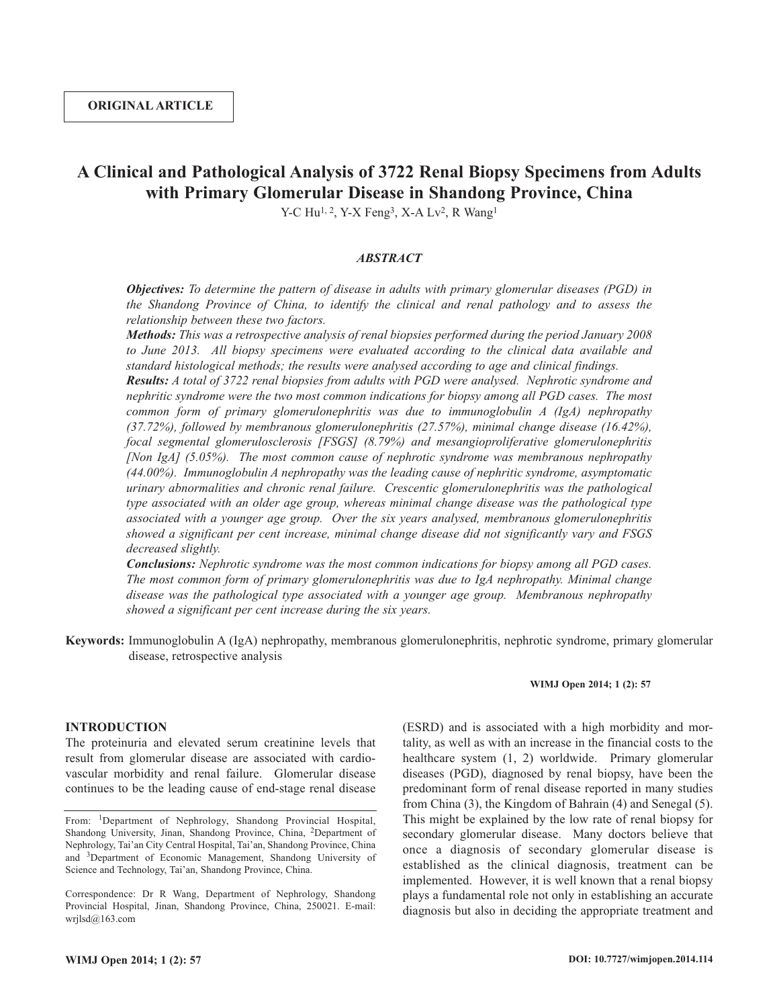# **A Clinical and Pathological Analysis of 3722 Renal Biopsy Specimens from Adults with Primary Glomerular Disease in Shandong Province, China**

Y-C Hu<sup>1, 2</sup>, Y-X Feng<sup>3</sup>, X-A Lv<sup>2</sup>, R Wang<sup>1</sup>

#### *ABSTRACT*

*Objectives: To determine the pattern of disease in adults with primary glomerular diseases (PGD) in the Shandong Province of China, to identify the clinical and renal pathology and to assess the relationship between these two factors.*

*Methods: This was a retrospective analysis of renal biopsies performed during the period January 2008 to June 2013. All biopsy specimens were evaluated according to the clinical data available and standard histological methods; the results were analysed according to age and clinical findings.*

*Results: A total of 3722 renal biopsies from adults with PGD were analysed. Nephrotic syndrome and nephritic syndrome were the two most common indications for biopsy among all PGD cases. The most common form of primary glomerulonephritis was due to immunoglobulin A (IgA) nephropathy (37.72%), followed by membranous glomerulonephritis (27.57%), minimal change disease (16.42%), focal segmental glomerulosclerosis [FSGS] (8.79%) and mesangioproliferative glomerulonephritis [Non IgA] (5.05%). The most common cause of nephrotic syndrome was membranous nephropathy (44.00%). Immunoglobulin A nephropathy was the leading cause of nephritic syndrome, asymptomatic urinary abnormalities and chronic renal failure. Crescentic glomerulonephritis was the pathological type associated with an older age group, whereas minimal change disease was the pathological type associated with a younger age group. Over the six years analysed, membranous glomerulonephritis showed a significant per cent increase, minimal change disease did not significantly vary and FSGS decreased slightly.*

*Conclusions: Nephrotic syndrome was the most common indications for biopsy among all PGD cases. The most common form of primary glomerulonephritis was due to IgA nephropathy. Minimal change disease was the pathological type associated with a younger age group. Membranous nephropathy showed a significant per cent increase during the six years.*

**Keywords:** Immunoglobulin A (IgA) nephropathy, membranous glomerulonephritis, nephrotic syndrome, primary glomerular disease, retrospective analysis

#### **WIMJ Open 2014; 1 (2): 57**

## **INTRODUCTION**

The proteinuria and elevated serum creatinine levels that result from glomerular disease are associated with cardiovascular morbidity and renal failure. Glomerular disease continues to be the leading cause of end-stage renal disease

(ESRD) and is associated with a high morbidity and mortality, as well as with an increase in the financial costs to the healthcare system (1, 2) worldwide. Primary glomerular diseases (PGD), diagnosed by renal biopsy, have been the predominant form of renal disease reported in many studies from China (3), the Kingdom of Bahrain (4) and Senegal (5). This might be explained by the low rate of renal biopsy for secondary glomerular disease. Many doctors believe that once a diagnosis of secondary glomerular disease is established as the clinical diagnosis, treatment can be implemented. However, it is well known that a renal biopsy plays a fundamental role not only in establishing an accurate diagnosis but also in deciding the appropriate treatment and

From: 1Department of Nephrology, Shandong Provincial Hospital, Shandong University, Jinan, Shandong Province, China, 2Department of Nephrology, Tai'an City Central Hospital, Tai'an, Shandong Province, China and 3Department of Economic Management, Shandong University of Science and Technology, Tai'an, Shandong Province, China.

Correspondence: Dr R Wang, Department of Nephrology, Shandong Provincial Hospital, Jinan, Shandong Province, China, 250021. E-mail: wrjlsd@163.com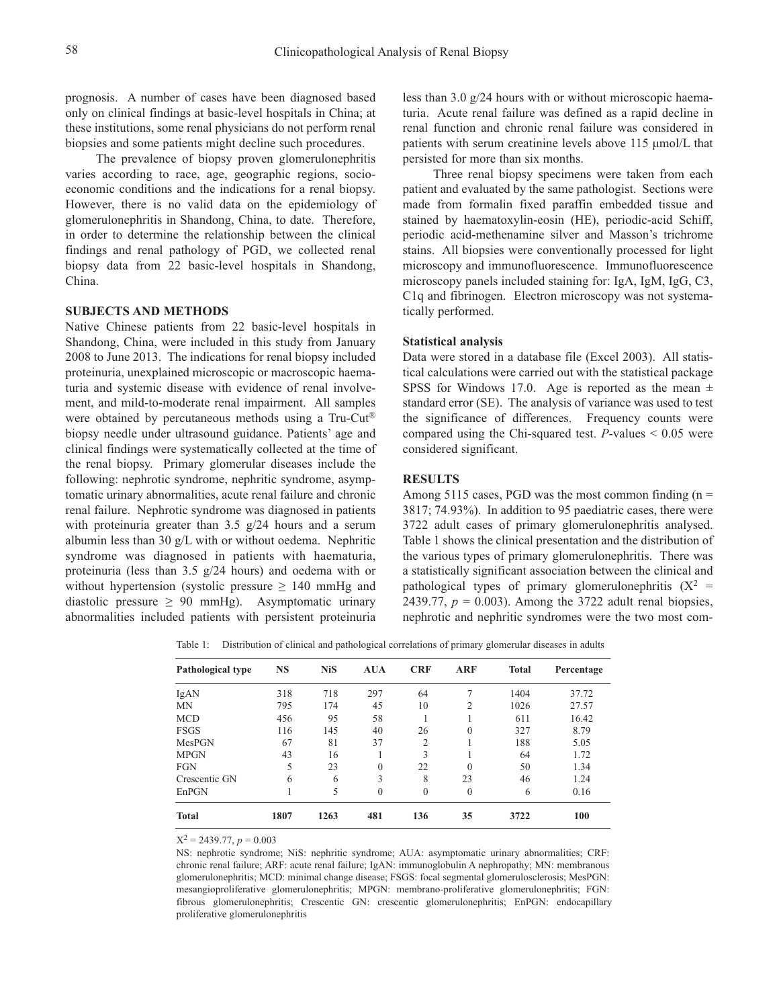prognosis. A number of cases have been diagnosed based only on clinical findings at basic-level hospitals in China; at these institutions, some renal physicians do not perform renal biopsies and some patients might decline such procedures.

The prevalence of biopsy proven glomerulonephritis varies according to race, age, geographic regions, socioeconomic conditions and the indications for a renal biopsy. However, there is no valid data on the epidemiology of glomerulonephritis in Shandong, China, to date. Therefore, in order to determine the relationship between the clinical findings and renal pathology of PGD, we collected renal biopsy data from 22 basic-level hospitals in Shandong, China.

#### **SUBJECTS AND METHODS**

Native Chinese patients from 22 basic-level hospitals in Shandong, China, were included in this study from January 2008 to June 2013. The indications for renal biopsy included proteinuria, unexplained microscopic or macroscopic haematuria and systemic disease with evidence of renal involvement, and mild-to-moderate renal impairment. All samples were obtained by percutaneous methods using a Tru-Cut® biopsy needle under ultrasound guidance. Patients' age and clinical findings were systematically collected at the time of the renal biopsy. Primary glomerular diseases include the following: nephrotic syndrome, nephritic syndrome, asymptomatic urinary abnormalities, acute renal failure and chronic renal failure. Nephrotic syndrome was diagnosed in patients with proteinuria greater than 3.5 g/24 hours and a serum albumin less than 30 g/L with or without oedema. Nephritic syndrome was diagnosed in patients with haematuria, proteinuria (less than 3.5 g/24 hours) and oedema with or without hypertension (systolic pressure  $\geq 140$  mmHg and diastolic pressure  $\geq 90$  mmHg). Asymptomatic urinary abnormalities included patients with persistent proteinuria

less than 3.0 g/24 hours with or without microscopic haematuria. Acute renal failure was defined as a rapid decline in renal function and chronic renal failure was considered in patients with serum creatinine levels above 115 µmol/L that persisted for more than six months.

Three renal biopsy specimens were taken from each patient and evaluated by the same pathologist. Sections were made from formalin fixed paraffin embedded tissue and stained by haematoxylin-eosin (HE), periodic-acid Schiff, periodic acid-methenamine silver and Masson's trichrome stains. All biopsies were conventionally processed for light microscopy and immunofluorescence. Immunofluorescence microscopy panels included staining for: IgA, IgM, IgG, C3, C1q and fibrinogen. Electron microscopy was not systematically performed.

### **Statistical analysis**

Data were stored in a database file (Excel 2003). All statistical calculations were carried out with the statistical package SPSS for Windows 17.0. Age is reported as the mean  $\pm$ standard error (SE). The analysis of variance was used to test the significance of differences. Frequency counts were compared using the Chi-squared test. *P*-values < 0.05 were considered significant.

#### **RESULTS**

Among 5115 cases, PGD was the most common finding  $(n =$ 3817; 74.93%). In addition to 95 paediatric cases, there were 3722 adult cases of primary glomerulonephritis analysed. Table 1 shows the clinical presentation and the distribution of the various types of primary glomerulonephritis. There was a statistically significant association between the clinical and pathological types of primary glomerulonephritis  $(X^2 =$ 2439.77,  $p = 0.003$ ). Among the 3722 adult renal biopsies, nephrotic and nephritic syndromes were the two most com-

Table 1: Distribution of clinical and pathological correlations of primary glomerular diseases in adults

| <b>Pathological type</b> | <b>NS</b> | <b>NiS</b> | <b>AUA</b> | <b>CRF</b>     | <b>ARF</b> | <b>Total</b> | Percentage |
|--------------------------|-----------|------------|------------|----------------|------------|--------------|------------|
| IgAN                     | 318       | 718        | 297        | 64             | 7          | 1404         | 37.72      |
| MN                       | 795       | 174        | 45         | 10             | 2          | 1026         | 27.57      |
| <b>MCD</b>               | 456       | 95         | 58         |                |            | 611          | 16.42      |
| <b>FSGS</b>              | 116       | 145        | 40         | 26             | $\theta$   | 327          | 8.79       |
| MesPGN                   | 67        | 81         | 37         | $\overline{2}$ |            | 188          | 5.05       |
| <b>MPGN</b>              | 43        | 16         |            | 3              |            | 64           | 1.72       |
| <b>FGN</b>               | 5         | 23         | $\theta$   | 22             | $\theta$   | 50           | 1.34       |
| Crescentic GN            | 6         | 6          | 3          | 8              | 23         | 46           | 1.24       |
| EnPGN                    |           | 5          | $\theta$   | $\theta$       | $\theta$   | 6            | 0.16       |
| <b>Total</b>             | 1807      | 1263       | 481        | 136            | 35         | 3722         | 100        |

 $X^2 = 2439.77$ ,  $p = 0.003$ 

NS: nephrotic syndrome; NiS: nephritic syndrome; AUA: asymptomatic urinary abnormalities; CRF: chronic renal failure; ARF: acute renal failure; IgAN: immunoglobulin A nephropathy; MN: membranous glomerulonephritis; MCD: minimal change disease; FSGS: focal segmental glomerulosclerosis; MesPGN: mesangioproliferative glomerulonephritis; MPGN: membrano-proliferative glomerulonephritis; FGN: fibrous glomerulonephritis; Crescentic GN: crescentic glomerulonephritis; EnPGN: endocapillary proliferative glomerulonephritis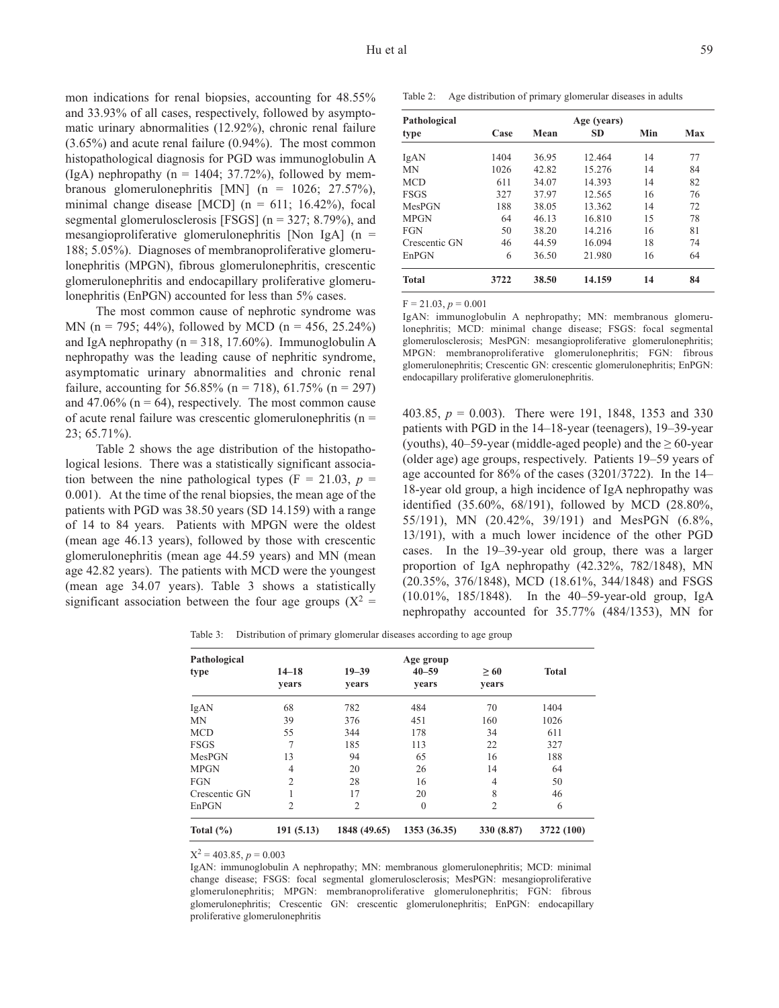mon indications for renal biopsies, accounting for 48.55% and 33.93% of all cases, respectively, followed by asymptomatic urinary abnormalities (12.92%), chronic renal failure (3.65%) and acute renal failure (0.94%). The most common histopathological diagnosis for PGD was immunoglobulin A (IgA) nephropathy ( $n = 1404$ ; 37.72%), followed by membranous glomerulonephritis [MN] (n = 1026; 27.57%), minimal change disease [MCD] ( $n = 611$ ; 16.42%), focal segmental glomerulosclerosis [FSGS] (n = 327; 8.79%), and mesangioproliferative glomerulonephritis [Non IgA] ( $n =$ 188; 5.05%). Diagnoses of membranoproliferative glomerulonephritis (MPGN), fibrous glomerulonephritis, crescentic glomerulonephritis and endocapillary proliferative glomerulonephritis (EnPGN) accounted for less than 5% cases.

The most common cause of nephrotic syndrome was MN (n = 795; 44%), followed by MCD (n = 456, 25.24%) and IgA nephropathy ( $n = 318$ , 17.60%). Immunoglobulin A nephropathy was the leading cause of nephritic syndrome, asymptomatic urinary abnormalities and chronic renal failure, accounting for 56.85% (n = 718), 61.75% (n = 297) and 47.06% ( $n = 64$ ), respectively. The most common cause of acute renal failure was crescentic glomerulonephritis ( $n =$ 23; 65.71%).

Table 2 shows the age distribution of the histopathological lesions. There was a statistically significant association between the nine pathological types ( $F = 21.03$ ,  $p =$ 0.001). At the time of the renal biopsies, the mean age of the patients with PGD was 38.50 years (SD 14.159) with a range of 14 to 84 years. Patients with MPGN were the oldest (mean age 46.13 years), followed by those with crescentic glomerulonephritis (mean age 44.59 years) and MN (mean age 42.82 years). The patients with MCD were the youngest (mean age 34.07 years). Table 3 shows a statistically significant association between the four age groups ( $X^2$  =

Table 2: Age distribution of primary glomerular diseases in adults

| Pathological  |      |       | Age (years) |     |     |  |
|---------------|------|-------|-------------|-----|-----|--|
| type          | Case | Mean  | <b>SD</b>   | Min | Max |  |
| IgAN          | 1404 | 36.95 | 12.464      | 14  | 77  |  |
| <b>MN</b>     | 1026 | 42.82 | 15.276      | 14  | 84  |  |
| <b>MCD</b>    | 611  | 34.07 | 14.393      | 14  | 82  |  |
| <b>FSGS</b>   | 327  | 37.97 | 12.565      | 16  | 76  |  |
| MesPGN        | 188  | 38.05 | 13.362      | 14  | 72  |  |
| <b>MPGN</b>   | 64   | 46.13 | 16.810      | 15  | 78  |  |
| <b>FGN</b>    | 50   | 38.20 | 14.216      | 16  | 81  |  |
| Crescentic GN | 46   | 44.59 | 16.094      | 18  | 74  |  |
| EnPGN         | 6    | 36.50 | 21.980      | 16  | 64  |  |
| <b>Total</b>  | 3722 | 38.50 | 14.159      | 14  | 84  |  |

 $F = 21.03, p = 0.001$ 

IgAN: immunoglobulin A nephropathy; MN: membranous glomerulonephritis; MCD: minimal change disease; FSGS: focal segmental glomerulosclerosis; MesPGN: mesangioproliferative glomerulonephritis; MPGN: membranoproliferative glomerulonephritis; FGN: fibrous glomerulonephritis; Crescentic GN: crescentic glomerulonephritis; EnPGN: endocapillary proliferative glomerulonephritis.

403.85, *p* = 0.003). There were 191, 1848, 1353 and 330 patients with PGD in the 14–18-year (teenagers), 19–39-year (youths), 40–59-year (middle-aged people) and the  $\geq 60$ -year (older age) age groups, respectively. Patients 19–59 years of age accounted for 86% of the cases (3201/3722). In the 14– 18-year old group, a high incidence of IgA nephropathy was identified (35.60%, 68/191), followed by MCD (28.80%, 55/191), MN (20.42%, 39/191) and MesPGN (6.8%, 13/191), with a much lower incidence of the other PGD cases. In the 19–39-year old group, there was a larger proportion of IgA nephropathy (42.32%, 782/1848), MN (20.35%, 376/1848), MCD (18.61%, 344/1848) and FSGS (10.01%, 185/1848). In the 40–59-year-old group, IgA nephropathy accounted for 35.77% (484/1353), MN for

|  | Table 3: Distribution of primary glomerular diseases according to age group |
|--|-----------------------------------------------------------------------------|
|--|-----------------------------------------------------------------------------|

| Pathological  |                |                | Age group    |                |              |
|---------------|----------------|----------------|--------------|----------------|--------------|
| type          | $14 - 18$      | $19 - 39$      | $40 - 59$    | $\geq 60$      | <b>Total</b> |
|               | years          | years          | years        | years          |              |
| IgAN          | 68             | 782            | 484          | 70             | 1404         |
| <b>MN</b>     | 39             | 376            | 451          | 160            | 1026         |
| <b>MCD</b>    | 55             | 344            | 178          | 34             | 611          |
| <b>FSGS</b>   | 7              | 185            | 113          | 22             | 327          |
| MesPGN        | 13             | 94             | 65           | 16             | 188          |
| <b>MPGN</b>   | 4              | 20             | 26           | 14             | 64           |
| <b>FGN</b>    | $\overline{c}$ | 28             | 16           | 4              | 50           |
| Crescentic GN |                | 17             | 20           | 8              | 46           |
| EnPGN         | $\overline{2}$ | $\overline{2}$ | $\Omega$     | $\overline{2}$ | 6            |
| Total $(\% )$ | 191(5.13)      | 1848 (49.65)   | 1353 (36.35) | 330 (8.87)     | 3722 (100)   |

 $X^2 = 403.85, p = 0.003$ 

IgAN: immunoglobulin A nephropathy; MN: membranous glomerulonephritis; MCD: minimal change disease; FSGS: focal segmental glomerulosclerosis; MesPGN: mesangioproliferative glomerulonephritis; MPGN: membranoproliferative glomerulonephritis; FGN: fibrous glomerulonephritis; Crescentic GN: crescentic glomerulonephritis; EnPGN: endocapillary proliferative glomerulonephritis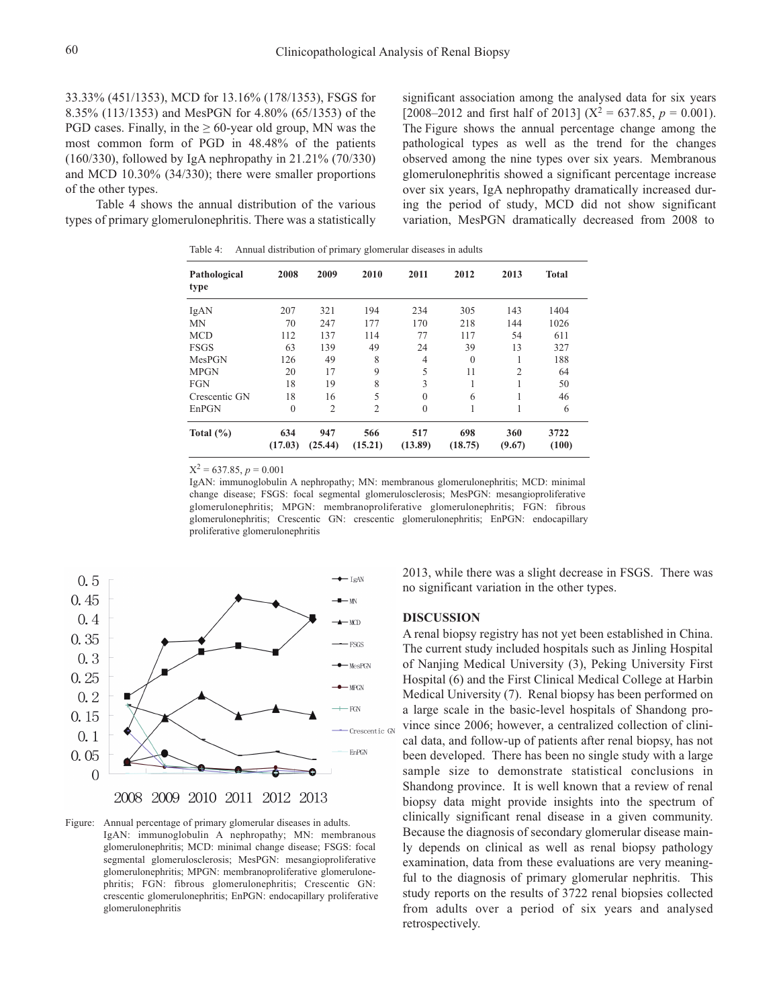33.33% (451/1353), MCD for 13.16% (178/1353), FSGS for 8.35% (113/1353) and MesPGN for 4.80% (65/1353) of the PGD cases. Finally, in the  $\geq 60$ -year old group, MN was the most common form of PGD in 48.48% of the patients (160/330), followed by IgA nephropathy in 21.21% (70/330) and MCD 10.30% (34/330); there were smaller proportions of the other types.

Table 4 shows the annual distribution of the various types of primary glomerulonephritis. There was a statistically significant association among the analysed data for six years [2008–2012 and first half of 2013] ( $X^2 = 637.85$ ,  $p = 0.001$ ). The Figure shows the annual percentage change among the pathological types as well as the trend for the changes observed among the nine types over six years. Membranous glomerulonephritis showed a significant percentage increase over six years, IgA nephropathy dramatically increased during the period of study, MCD did not show significant variation, MesPGN dramatically decreased from 2008 to

Table 4: Annual distribution of primary glomerular diseases in adults

| Pathological<br>type | 2008           | 2009           | 2010           | 2011           | 2012           | 2013           | <b>Total</b>  |
|----------------------|----------------|----------------|----------------|----------------|----------------|----------------|---------------|
| IgAN                 | 207            | 321            | 194            | 234            | 305            | 143            | 1404          |
| <b>MN</b>            | 70             | 247            | 177            | 170            | 218            | 144            | 1026          |
| <b>MCD</b>           | 112            | 137            | 114            | 77             | 117            | 54             | 611           |
| <b>FSGS</b>          | 63             | 139            | 49             | 24             | 39             | 13             | 327           |
| MesPGN               | 126            | 49             | 8              | $\overline{4}$ | $\theta$       |                | 188           |
| <b>MPGN</b>          | 20             | 17             | 9              | 5              | 11             | $\overline{2}$ | 64            |
| <b>FGN</b>           | 18             | 19             | 8              | 3              | 1              |                | 50            |
| Crescentic GN        | 18             | 16             | 5              | $\theta$       | 6              |                | 46            |
| EnPGN                | $\mathbf{0}$   | $\overline{c}$ | $\overline{2}$ | $\theta$       |                |                | 6             |
| Total $(\% )$        | 634<br>(17.03) | 947<br>(25.44) | 566<br>(15.21) | 517<br>(13.89) | 698<br>(18.75) | 360<br>(9.67)  | 3722<br>(100) |

 $X^2 = 637.85, p = 0.001$ 

IgAN: immunoglobulin A nephropathy; MN: membranous glomerulonephritis; MCD: minimal change disease; FSGS: focal segmental glomerulosclerosis; MesPGN: mesangioproliferative glomerulonephritis; MPGN: membranoproliferative glomerulonephritis; FGN: fibrous glomerulonephritis; Crescentic GN: crescentic glomerulonephritis; EnPGN: endocapillary proliferative glomerulonephritis



Figure: Annual percentage of primary glomerular diseases in adults. IgAN: immunoglobulin A nephropathy; MN: membranous glomerulonephritis; MCD: minimal change disease; FSGS: focal segmental glomerulosclerosis; MesPGN: mesangioproliferative glomerulonephritis; MPGN: membranoproliferative glomerulonephritis; FGN: fibrous glomerulonephritis; Crescentic GN: crescentic glomerulonephritis; EnPGN: endocapillary proliferative glomerulonephritis

2013, while there was a slight decrease in FSGS. There was no significant variation in the other types.

#### **DISCUSSION**

A renal biopsy registry has not yet been established in China. The current study included hospitals such as Jinling Hospital of Nanjing Medical University (3), Peking University First Hospital (6) and the First Clinical Medical College at Harbin Medical University (7). Renal biopsy has been performed on a large scale in the basic-level hospitals of Shandong province since 2006; however, a centralized collection of clinical data, and follow-up of patients after renal biopsy, has not been developed. There has been no single study with a large sample size to demonstrate statistical conclusions in Shandong province. It is well known that a review of renal biopsy data might provide insights into the spectrum of clinically significant renal disease in a given community. Because the diagnosis of secondary glomerular disease mainly depends on clinical as well as renal biopsy pathology examination, data from these evaluations are very meaningful to the diagnosis of primary glomerular nephritis. This study reports on the results of 3722 renal biopsies collected from adults over a period of six years and analysed retrospectively.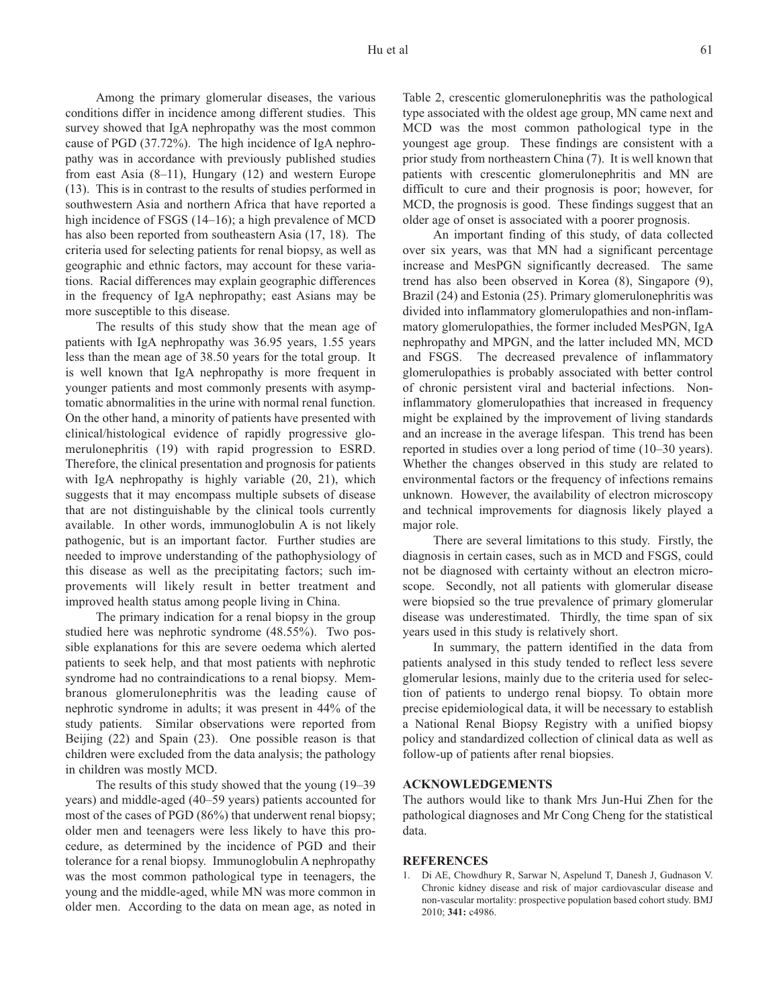Among the primary glomerular diseases, the various conditions differ in incidence among different studies. This survey showed that IgA nephropathy was the most common cause of PGD (37.72%). The high incidence of IgA nephropathy was in accordance with previously published studies from east Asia (8–11), Hungary (12) and western Europe (13). This is in contrast to the results of studies performed in southwestern Asia and northern Africa that have reported a high incidence of FSGS (14–16); a high prevalence of MCD has also been reported from southeastern Asia (17, 18). The criteria used for selecting patients for renal biopsy, as well as geographic and ethnic factors, may account for these variations. Racial differences may explain geographic differences in the frequency of IgA nephropathy; east Asians may be more susceptible to this disease.

The results of this study show that the mean age of patients with IgA nephropathy was 36.95 years, 1.55 years less than the mean age of 38.50 years for the total group. It is well known that IgA nephropathy is more frequent in younger patients and most commonly presents with asymptomatic abnormalities in the urine with normal renal function. On the other hand, a minority of patients have presented with clinical/histological evidence of rapidly progressive glomerulonephritis (19) with rapid progression to ESRD. Therefore, the clinical presentation and prognosis for patients with IgA nephropathy is highly variable  $(20, 21)$ , which suggests that it may encompass multiple subsets of disease that are not distinguishable by the clinical tools currently available. In other words, immunoglobulin A is not likely pathogenic, but is an important factor. Further studies are needed to improve understanding of the pathophysiology of this disease as well as the precipitating factors; such improvements will likely result in better treatment and improved health status among people living in China.

The primary indication for a renal biopsy in the group studied here was nephrotic syndrome (48.55%). Two possible explanations for this are severe oedema which alerted patients to seek help, and that most patients with nephrotic syndrome had no contraindications to a renal biopsy. Membranous glomerulonephritis was the leading cause of nephrotic syndrome in adults; it was present in 44% of the study patients. Similar observations were reported from Beijing (22) and Spain (23). One possible reason is that children were excluded from the data analysis; the pathology in children was mostly MCD.

The results of this study showed that the young (19–39 years) and middle-aged (40–59 years) patients accounted for most of the cases of PGD (86%) that underwent renal biopsy; older men and teenagers were less likely to have this procedure, as determined by the incidence of PGD and their tolerance for a renal biopsy. Immunoglobulin A nephropathy was the most common pathological type in teenagers, the young and the middle-aged, while MN was more common in older men. According to the data on mean age, as noted in Table 2, crescentic glomerulonephritis was the pathological type associated with the oldest age group, MN came next and MCD was the most common pathological type in the youngest age group. These findings are consistent with a prior study from northeastern China (7). It is well known that patients with crescentic glomerulonephritis and MN are difficult to cure and their prognosis is poor; however, for MCD, the prognosis is good. These findings suggest that an older age of onset is associated with a poorer prognosis.

An important finding of this study, of data collected over six years, was that MN had a significant percentage increase and MesPGN significantly decreased. The same trend has also been observed in Korea (8), Singapore (9), Brazil (24) and Estonia (25). Primary glomerulonephritis was divided into inflammatory glomerulopathies and non-inflammatory glomerulopathies, the former included MesPGN, IgA nephropathy and MPGN, and the latter included MN, MCD and FSGS. The decreased prevalence of inflammatory glomerulopathies is probably associated with better control of chronic persistent viral and bacterial infections. Noninflammatory glomerulopathies that increased in frequency might be explained by the improvement of living standards and an increase in the average lifespan. This trend has been reported in studies over a long period of time (10–30 years). Whether the changes observed in this study are related to environmental factors or the frequency of infections remains unknown. However, the availability of electron microscopy and technical improvements for diagnosis likely played a major role.

There are several limitations to this study. Firstly, the diagnosis in certain cases, such as in MCD and FSGS, could not be diagnosed with certainty without an electron microscope. Secondly, not all patients with glomerular disease were biopsied so the true prevalence of primary glomerular disease was underestimated. Thirdly, the time span of six years used in this study is relatively short.

In summary, the pattern identified in the data from patients analysed in this study tended to reflect less severe glomerular lesions, mainly due to the criteria used for selection of patients to undergo renal biopsy. To obtain more precise epidemiological data, it will be necessary to establish a National Renal Biopsy Registry with a unified biopsy policy and standardized collection of clinical data as well as follow-up of patients after renal biopsies.

## **ACKNOWLEDGEMENTS**

The authors would like to thank Mrs Jun-Hui Zhen for the pathological diagnoses and Mr Cong Cheng for the statistical data.

#### **REFERENCES**

1. Di AE, Chowdhury R, Sarwar N, Aspelund T, Danesh J, Gudnason V. Chronic kidney disease and risk of major cardiovascular disease and non-vascular mortality: prospective population based cohort study. BMJ 2010; **341:** c4986.